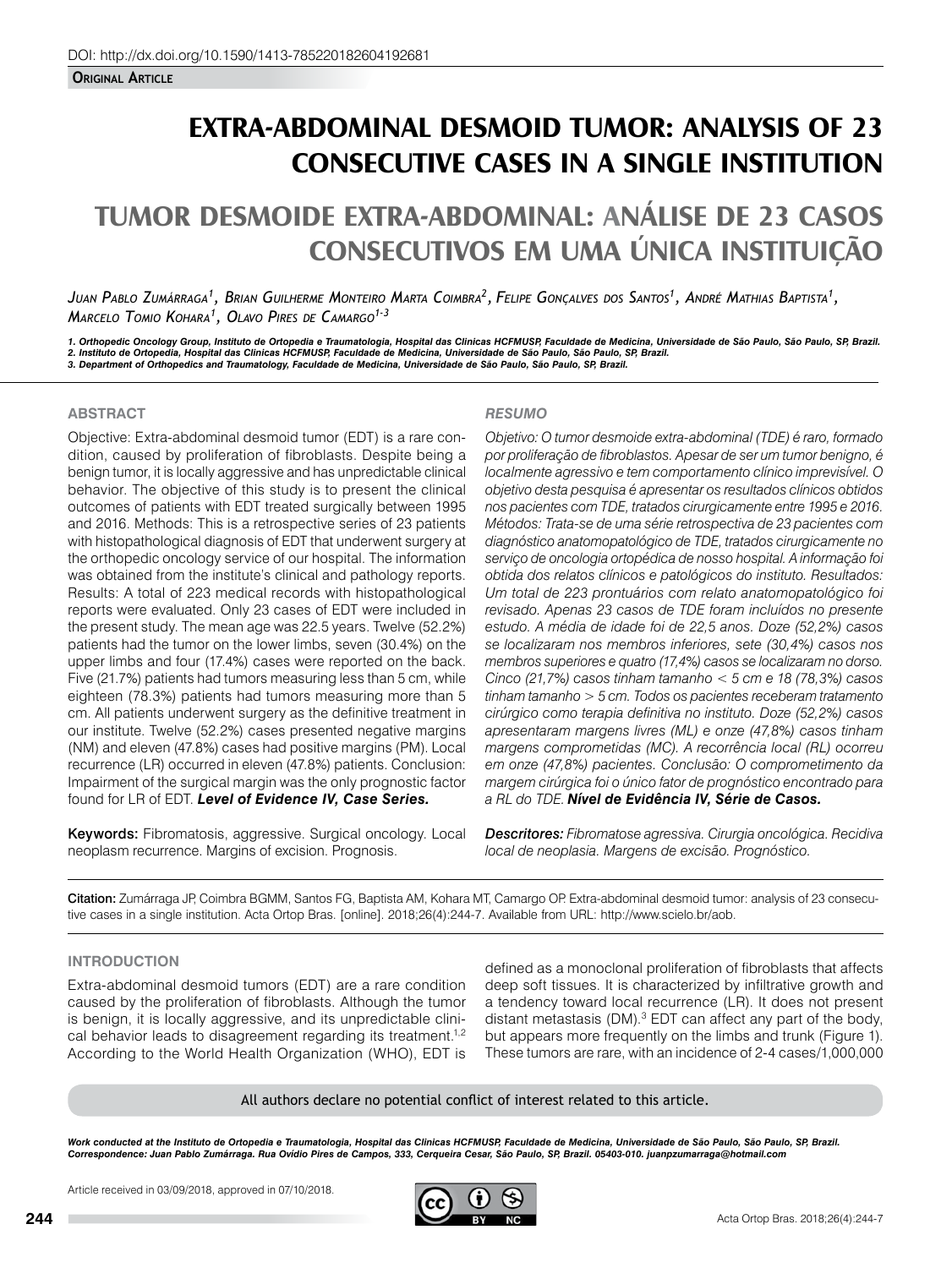# **EXTRA-ABDOMINAL DESMOID TUMOR: ANALYSIS OF 23 CONSECUTIVE CASES IN A SINGLE INSTITUTION**

# **TUMOR DESMOIDE EXTRA-ABDOMINAL: ANÁLISE DE 23 CASOS CONSECUTIVOS EM UMA ÚNICA INSTITUIÇÃO**

*Juan Pablo Zumárraga1 , Brian Guilherme Monteiro Marta Coimbra2 , Felipe Gonçalves dos Santos1 , André Mathias Baptista1 , Marcelo Tomio Kohara1 , Olavo Pires de Camargo1-3*

*1. Orthopedic Oncology Group, Instituto de Ortopedia e Traumatologia, Hospital das Clinicas HCFMUSP, Faculdade de Medicina, Universidade de São Paulo, São Paulo, SP, Brazil.* 2. Instituto de Ortopedia, Hospital das Clinicas HCFMUSP, Faculdade de Medicina, Universidade de São Paulo, São Paulo, SP, Brazil.<br>3. Department of Orthopedics and Traumatology, Faculdade de Medicina, Universidade de São P

### **ABSTRACT**

Objective: Extra-abdominal desmoid tumor (EDT) is a rare condition, caused by proliferation of fibroblasts. Despite being a benign tumor, it is locally aggressive and has unpredictable clinical behavior. The objective of this study is to present the clinical outcomes of patients with EDT treated surgically between 1995 and 2016. Methods: This is a retrospective series of 23 patients with histopathological diagnosis of EDT that underwent surgery at the orthopedic oncology service of our hospital. The information was obtained from the institute's clinical and pathology reports. Results: A total of 223 medical records with histopathological reports were evaluated. Only 23 cases of EDT were included in the present study. The mean age was 22.5 years. Twelve (52.2%) patients had the tumor on the lower limbs, seven (30.4%) on the upper limbs and four (17.4%) cases were reported on the back. Five (21.7%) patients had tumors measuring less than 5 cm, while eighteen (78.3%) patients had tumors measuring more than 5 cm. All patients underwent surgery as the definitive treatment in our institute. Twelve (52.2%) cases presented negative margins (NM) and eleven (47.8%) cases had positive margins (PM). Local recurrence (LR) occurred in eleven (47.8%) patients. Conclusion: Impairment of the surgical margin was the only prognostic factor found for LR of EDT. *Level of Evidence IV, Case Series.* 

Keywords: Fibromatosis, aggressive. Surgical oncology. Local neoplasm recurrence. Margins of excision. Prognosis.

# *RESUMO*

*Objetivo: O tumor desmoide extra-abdominal (TDE) é raro, formado por proliferação de fibroblastos. Apesar de ser um tumor benigno, é localmente agressivo e tem comportamento clínico imprevisível. O objetivo desta pesquisa é apresentar os resultados clínicos obtidos nos pacientes com TDE, tratados cirurgicamente entre 1995 e 2016. Métodos: Trata-se de uma série retrospectiva de 23 pacientes com diagnóstico anatomopatológico de TDE, tratados cirurgicamente no serviço de oncologia ortopédica de nosso hospital. A informação foi obtida dos relatos clínicos e patológicos do instituto. Resultados: Um total de 223 prontuários com relato anatomopatológico foi revisado. Apenas 23 casos de TDE foram incluídos no presente estudo. A média de idade foi de 22,5 anos. Doze (52,2%) casos se localizaram nos membros inferiores, sete (30,4%) casos nos membros superiores e quatro (17,4%) casos se localizaram no dorso. Cinco (21,7%) casos tinham tamanho < 5 cm e 18 (78,3%) casos tinham tamanho > 5 cm. Todos os pacientes receberam tratamento cirúrgico como terapia definitiva no instituto. Doze (52,2%) casos apresentaram margens livres (ML) e onze (47,8%) casos tinham margens comprometidas (MC). A recorrência local (RL) ocorreu em onze (47,8%) pacientes. Conclusão: O comprometimento da margem cirúrgica foi o único fator de prognóstico encontrado para a RL do TDE. Nível de Evidência IV, Série de Casos.*

*Descritores: Fibromatose agressiva. Cirurgia oncológica. Recidiva local de neoplasia. Margens de excisão. Prognóstico.*

Citation: Zumárraga JP, Coimbra BGMM, Santos FG, Baptista AM, Kohara MT, Camargo OP. Extra-abdominal desmoid tumor: analysis of 23 consecutive cases in a single institution. Acta Ortop Bras. [online]. 2018;26(4):244-7. Available from URL: http://www.scielo.br/aob.

# **INTRODUCTION**

Extra-abdominal desmoid tumors (EDT) are a rare condition caused by the proliferation of fibroblasts. Although the tumor is benign, it is locally aggressive, and its unpredictable clinical behavior leads to disagreement regarding its treatment.<sup>1,2</sup> According to the World Health Organization (WHO), EDT is

defined as a monoclonal proliferation of fibroblasts that affects deep soft tissues. It is characterized by infiltrative growth and a tendency toward local recurrence (LR). It does not present distant metastasis (DM).<sup>3</sup> EDT can affect any part of the body, but appears more frequently on the limbs and trunk (Figure 1). These tumors are rare, with an incidence of 2-4 cases/1,000,000

All authors declare no potential conflict of interest related to this article.

Work conducted at the Instituto de Ortopedia e Traumatologia, Hospital das Clinicas HCFMUSP, Faculdade de Medicina, Universidade de São Paulo, São Paulo, SP, Brazil. *Correspondence: Juan Pablo Zumárraga. Rua Ovídio Pires de Campos, 333, Cerqueira Cesar, São Paulo, SP, Brazil. 05403-010. juanpzumarraga@hotmail.com*

Article received in 03/09/2018, approved in 07/10/2018.

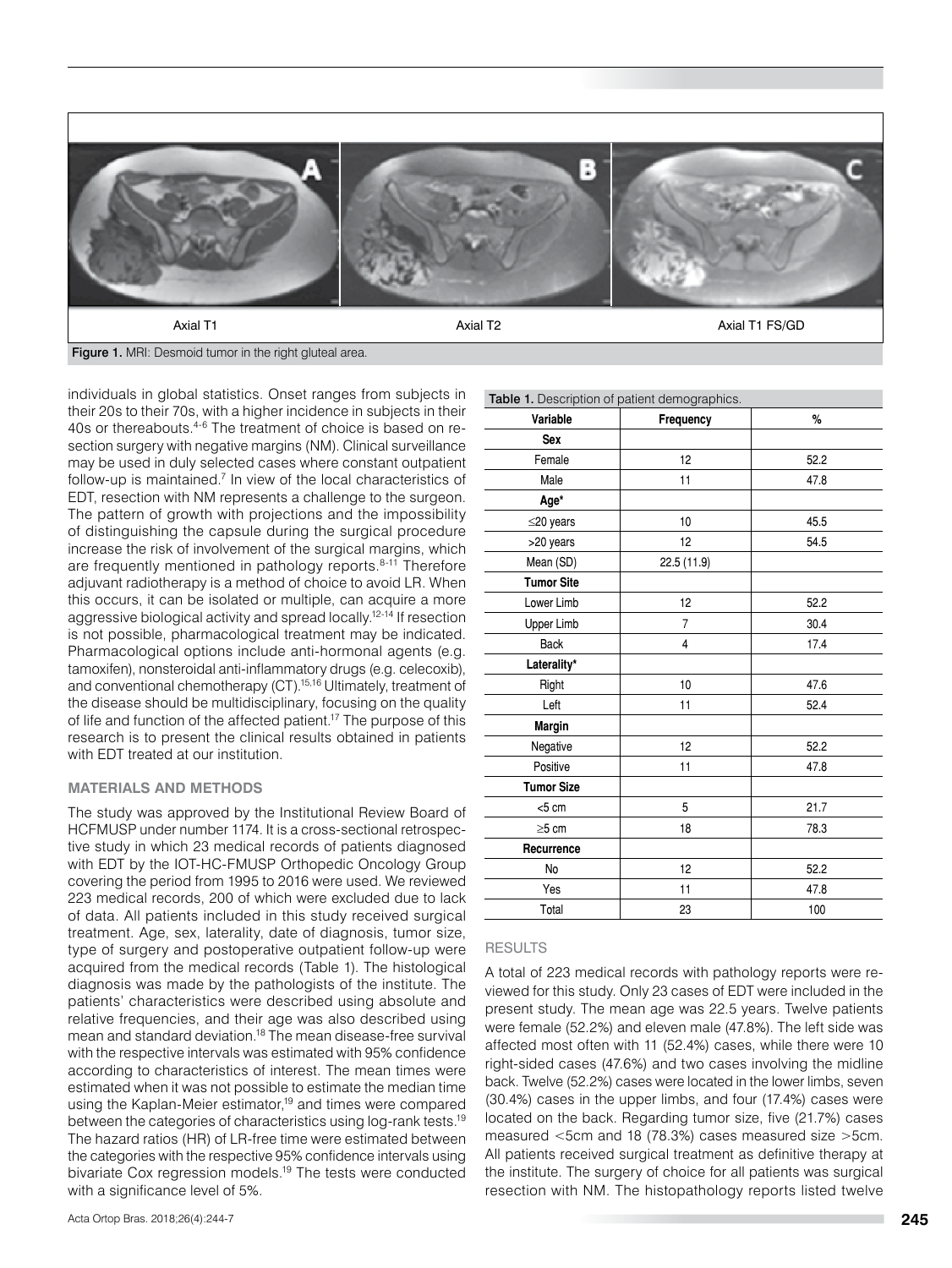

Figure 1. MRI: Desmoid tumor in the right gluteal area.

individuals in global statistics. Onset ranges from subjects in their 20s to their 70s, with a higher incidence in subjects in their 40s or thereabouts.4-6 The treatment of choice is based on resection surgery with negative margins (NM). Clinical surveillance may be used in duly selected cases where constant outpatient follow-up is maintained.<sup>7</sup> In view of the local characteristics of EDT, resection with NM represents a challenge to the surgeon. The pattern of growth with projections and the impossibility of distinguishing the capsule during the surgical procedure increase the risk of involvement of the surgical margins, which are frequently mentioned in pathology reports.<sup>8-11</sup> Therefore adjuvant radiotherapy is a method of choice to avoid LR. When this occurs, it can be isolated or multiple, can acquire a more aggressive biological activity and spread locally.12-14 If resection is not possible, pharmacological treatment may be indicated. Pharmacological options include anti-hormonal agents (e.g. tamoxifen), nonsteroidal anti-inflammatory drugs (e.g. celecoxib), and conventional chemotherapy (CT).<sup>15,16</sup> Ultimately, treatment of the disease should be multidisciplinary, focusing on the quality of life and function of the affected patient.17 The purpose of this research is to present the clinical results obtained in patients with EDT treated at our institution.

#### **MATERIALS AND METHODS**

The study was approved by the Institutional Review Board of HCFMUSP under number 1174. It is a cross-sectional retrospective study in which 23 medical records of patients diagnosed with EDT by the IOT-HC-FMUSP Orthopedic Oncology Group covering the period from 1995 to 2016 were used. We reviewed 223 medical records, 200 of which were excluded due to lack of data. All patients included in this study received surgical treatment. Age, sex, laterality, date of diagnosis, tumor size, type of surgery and postoperative outpatient follow-up were acquired from the medical records (Table 1). The histological diagnosis was made by the pathologists of the institute. The patients' characteristics were described using absolute and relative frequencies, and their age was also described using mean and standard deviation.<sup>18</sup> The mean disease-free survival with the respective intervals was estimated with 95% confidence according to characteristics of interest. The mean times were estimated when it was not possible to estimate the median time using the Kaplan-Meier estimator,<sup>19</sup> and times were compared between the categories of characteristics using log-rank tests.19 The hazard ratios (HR) of LR-free time were estimated between the categories with the respective 95% confidence intervals using bivariate Cox regression models.19 The tests were conducted with a significance level of 5%.

| Table 1. Description of patient demographics. |                |      |  |  |  |  |  |  |
|-----------------------------------------------|----------------|------|--|--|--|--|--|--|
| Variable                                      | Frequency      | %    |  |  |  |  |  |  |
| Sex                                           |                |      |  |  |  |  |  |  |
| Female                                        | 12             | 52.2 |  |  |  |  |  |  |
| Male                                          | 11             | 47.8 |  |  |  |  |  |  |
| Age*                                          |                |      |  |  |  |  |  |  |
| $\leq$ 20 years                               | 10             | 45.5 |  |  |  |  |  |  |
| >20 years                                     | 12             | 54.5 |  |  |  |  |  |  |
| Mean (SD)                                     | 22.5 (11.9)    |      |  |  |  |  |  |  |
| <b>Tumor Site</b>                             |                |      |  |  |  |  |  |  |
| Lower Limb                                    | 12             | 52.2 |  |  |  |  |  |  |
| <b>Upper Limb</b>                             | $\overline{7}$ | 30.4 |  |  |  |  |  |  |
| <b>Back</b>                                   | 4              | 17.4 |  |  |  |  |  |  |
| Laterality*                                   |                |      |  |  |  |  |  |  |
| Right                                         | 10             | 47.6 |  |  |  |  |  |  |
| Left                                          | 11             | 52.4 |  |  |  |  |  |  |
| <b>Margin</b>                                 |                |      |  |  |  |  |  |  |
| Negative                                      | 12             | 52.2 |  |  |  |  |  |  |
| Positive                                      | 11             | 47.8 |  |  |  |  |  |  |
| <b>Tumor Size</b>                             |                |      |  |  |  |  |  |  |
| $<$ 5 cm                                      | 5              | 21.7 |  |  |  |  |  |  |
| $\geq$ 5 cm                                   | 18             | 78.3 |  |  |  |  |  |  |
| Recurrence                                    |                |      |  |  |  |  |  |  |
| No                                            | 12             | 52.2 |  |  |  |  |  |  |
| Yes                                           | 11             | 47.8 |  |  |  |  |  |  |
| Total                                         | 23             | 100  |  |  |  |  |  |  |

#### RESULTS

A total of 223 medical records with pathology reports were reviewed for this study. Only 23 cases of EDT were included in the present study. The mean age was 22.5 years. Twelve patients were female (52.2%) and eleven male (47.8%). The left side was affected most often with 11 (52.4%) cases, while there were 10 right-sided cases (47.6%) and two cases involving the midline back. Twelve (52.2%) cases were located in the lower limbs, seven (30.4%) cases in the upper limbs, and four (17.4%) cases were located on the back. Regarding tumor size, five (21.7%) cases measured <5cm and 18 (78.3%) cases measured size >5cm. All patients received surgical treatment as definitive therapy at the institute. The surgery of choice for all patients was surgical resection with NM. The histopathology reports listed twelve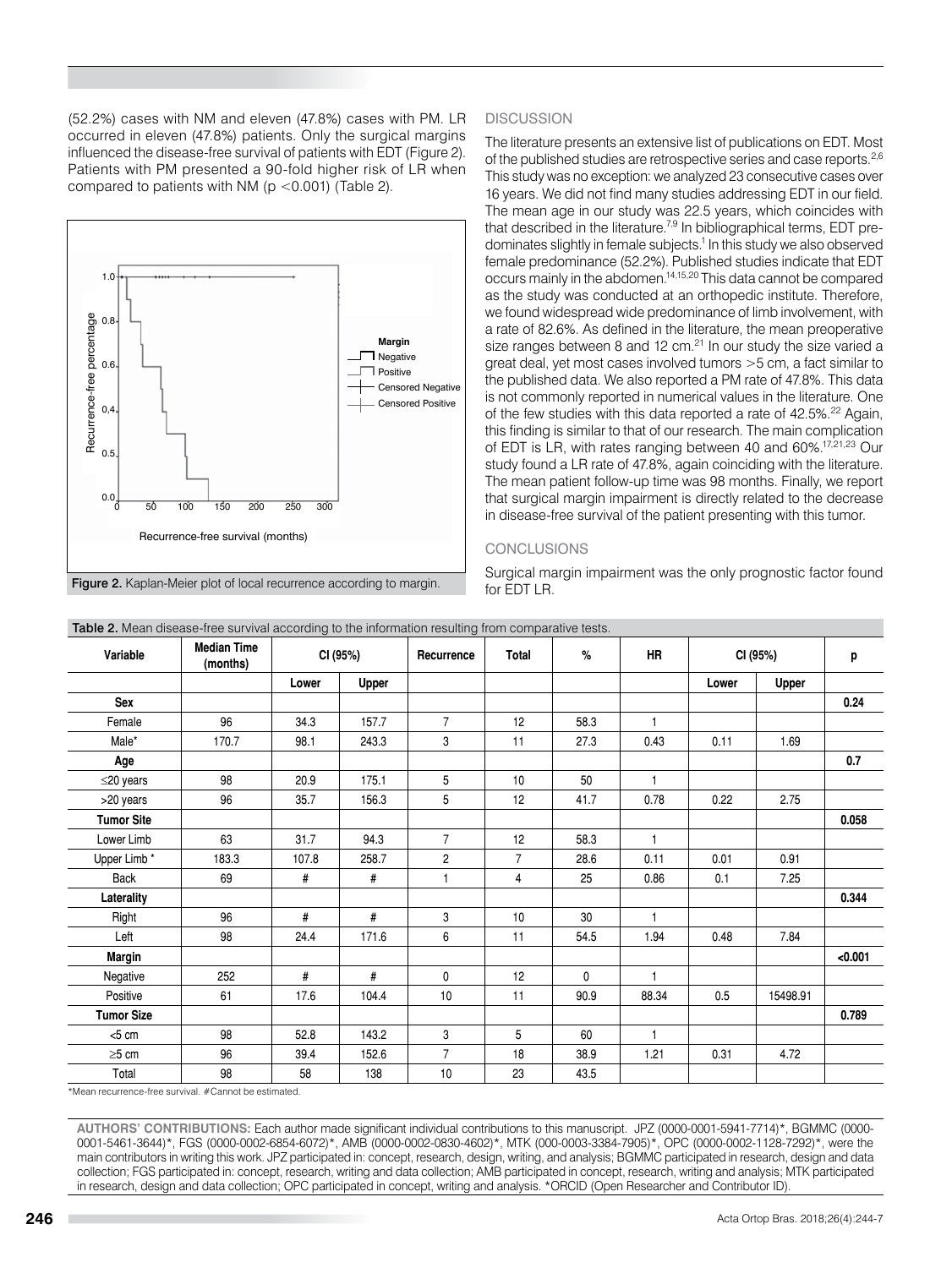(52.2%) cases with NM and eleven (47.8%) cases with PM. LR occurred in eleven (47.8%) patients. Only the surgical margins influenced the disease-free survival of patients with EDT (Figure 2). Patients with PM presented a 90-fold higher risk of LR when compared to patients with NM ( $p$  <0.001) (Table 2).



Figure 2. Kaplan-Meier plot of local recurrence according to margin.

# **DISCUSSION**

The literature presents an extensive list of publications on EDT. Most of the published studies are retrospective series and case reports.<sup>2,6</sup> This study was no exception: we analyzed 23 consecutive cases over 16 years. We did not find many studies addressing EDT in our field. The mean age in our study was 22.5 years, which coincides with that described in the literature.<sup>7,9</sup> In bibliographical terms, EDT predominates slightly in female subjects.<sup>1</sup> In this study we also observed female predominance (52.2%). Published studies indicate that EDT occurs mainly in the abdomen.14,15,20 This data cannot be compared as the study was conducted at an orthopedic institute. Therefore, we found widespread wide predominance of limb involvement, with a rate of 82.6%. As defined in the literature, the mean preoperative size ranges between 8 and 12  $cm<sup>21</sup>$  In our study the size varied a great deal, yet most cases involved tumors >5 cm, a fact similar to the published data. We also reported a PM rate of 47.8%. This data is not commonly reported in numerical values in the literature. One of the few studies with this data reported a rate of 42.5%.<sup>22</sup> Again, this finding is similar to that of our research. The main complication of EDT is LR, with rates ranging between 40 and 60%.17,21,23 Our study found a LR rate of 47.8%, again coinciding with the literature. The mean patient follow-up time was 98 months. Finally, we report that surgical margin impairment is directly related to the decrease in disease-free survival of the patient presenting with this tumor.

# **CONCLUSIONS**

Surgical margin impairment was the only prognostic factor found for EDT LR.

| Variable          | <b>Median Time</b><br>(months) | CI (95%) |              | Recurrence      | Total          | %            | <b>HR</b>    | CI (95%) |          | p       |
|-------------------|--------------------------------|----------|--------------|-----------------|----------------|--------------|--------------|----------|----------|---------|
|                   |                                | Lower    | <b>Upper</b> |                 |                |              |              | Lower    | Upper    |         |
| Sex               |                                |          |              |                 |                |              |              |          |          | 0.24    |
| Female            | 96                             | 34.3     | 157.7        | $\overline{7}$  | 12             | 58.3         | $\mathbf{1}$ |          |          |         |
| Male*             | 170.7                          | 98.1     | 243.3        | 3               | 11             | 27.3         | 0.43         | 0.11     | 1.69     |         |
| Age               |                                |          |              |                 |                |              |              |          |          | 0.7     |
| $\leq$ 20 years   | 98                             | 20.9     | 175.1        | 5               | 10             | 50           | 1            |          |          |         |
| >20 years         | 96                             | 35.7     | 156.3        | $5\phantom{.0}$ | 12             | 41.7         | 0.78         | 0.22     | 2.75     |         |
| <b>Tumor Site</b> |                                |          |              |                 |                |              |              |          |          | 0.058   |
| Lower Limb        | 63                             | 31.7     | 94.3         | $\overline{7}$  | 12             | 58.3         | $\mathbf{1}$ |          |          |         |
| Upper Limb *      | 183.3                          | 107.8    | 258.7        | $\overline{c}$  | $\overline{7}$ | 28.6         | 0.11         | 0.01     | 0.91     |         |
| <b>Back</b>       | 69                             | #        | $\#$         | $\overline{1}$  | 4              | 25           | 0.86         | 0.1      | 7.25     |         |
| Laterality        |                                |          |              |                 |                |              |              |          |          | 0.344   |
| Right             | 96                             | #        | #            | 3               | 10             | 30           | $\mathbf{1}$ |          |          |         |
| Left              | 98                             | 24.4     | 171.6        | 6               | 11             | 54.5         | 1.94         | 0.48     | 7.84     |         |
| <b>Margin</b>     |                                |          |              |                 |                |              |              |          |          | < 0.001 |
| Negative          | 252                            | #        | #            | $\mathbf{0}$    | 12             | $\mathbf{0}$ | $\mathbf{1}$ |          |          |         |
| Positive          | 61                             | 17.6     | 104.4        | 10              | 11             | 90.9         | 88.34        | 0.5      | 15498.91 |         |
| <b>Tumor Size</b> |                                |          |              |                 |                |              |              |          |          | 0.789   |
| < 5 cm            | 98                             | 52.8     | 143.2        | 3               | 5              | 60           | 1            |          |          |         |
| $\geq$ 5 cm       | 96                             | 39.4     | 152.6        | $\overline{7}$  | 18             | 38.9         | 1.21         | 0.31     | 4.72     |         |
| Total             | 98                             | 58       | 138          | $10$            | 23             | 43.5         |              |          |          |         |

Table 2. Mean disease-free survival according to the information resulting from comparative tests.

\*Mean recurrence-free survival. #Cannot be estimated.

**AUTHORS' CONTRIBUTIONS:** Each author made significant individual contributions to this manuscript. JPZ (0000-0001-5941-7714)\*, BGMMC (0000- 0001-5461-3644)\*, FGS (0000-0002-6854-6072)\*, AMB (0000-0002-0830-4602)\*, MTK (000-0003-3384-7905)\*, OPC (0000-0002-1128-7292)\*, were the main contributors in writing this work. JPZ participated in: concept, research, design, writing, and analysis; BGMMC participated in research, design and data collection; FGS participated in: concept, research, writing and data collection; AMB participated in concept, research, writing and analysis; MTK participated in research, design and data collection; OPC participated in concept, writing and analysis. \*ORCID (Open Researcher and Contributor ID).